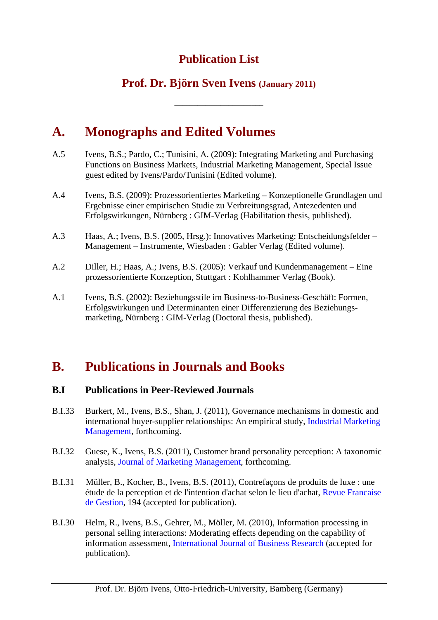## **Publication List**

### **Prof. Dr. Björn Sven Ivens (January 2011)**

**\_\_\_\_\_\_\_\_\_\_\_\_\_\_\_\_\_\_\_\_\_\_\_** 

# **A. Monographs and Edited Volumes**

- A.5 Ivens, B.S.; Pardo, C.; Tunisini, A. (2009): Integrating Marketing and Purchasing Functions on Business Markets, Industrial Marketing Management, Special Issue guest edited by Ivens/Pardo/Tunisini (Edited volume).
- A.4 Ivens, B.S. (2009): Prozessorientiertes Marketing Konzeptionelle Grundlagen und Ergebnisse einer empirischen Studie zu Verbreitungsgrad, Antezedenten und Erfolgswirkungen, Nürnberg : GIM-Verlag (Habilitation thesis, published).
- A.3 Haas, A.; Ivens, B.S. (2005, Hrsg.): Innovatives Marketing: Entscheidungsfelder Management – Instrumente, Wiesbaden : Gabler Verlag (Edited volume).
- A.2 Diller, H.; Haas, A.; Ivens, B.S. (2005): Verkauf und Kundenmanagement Eine prozessorientierte Konzeption, Stuttgart : Kohlhammer Verlag (Book).
- A.1 Ivens, B.S. (2002): Beziehungsstile im Business-to-Business-Geschäft: Formen, Erfolgswirkungen und Determinanten einer Differenzierung des Beziehungsmarketing, Nürnberg : GIM-Verlag (Doctoral thesis, published).

## **B. Publications in Journals and Books**

#### **B.I Publications in Peer-Reviewed Journals**

- B.I.33 Burkert, M., Ivens, B.S., Shan, J. (2011), Governance mechanisms in domestic and international buyer-supplier relationships: An empirical study, Industrial Marketing Management, forthcoming.
- B.I.32 Guese, K., Ivens, B.S. (2011), Customer brand personality perception: A taxonomic analysis, Journal of Marketing Management, forthcoming.
- B.I.31 Müller, B., Kocher, B., Ivens, B.S. (2011), Contrefaçons de produits de luxe : une étude de la perception et de l'intention d'achat selon le lieu d'achat, Revue Francaise de Gestion, 194 (accepted for publication).
- B.I.30 Helm, R., Ivens, B.S., Gehrer, M., Möller, M. (2010), Information processing in personal selling interactions: Moderating effects depending on the capability of information assessment, International Journal of Business Research (accepted for publication).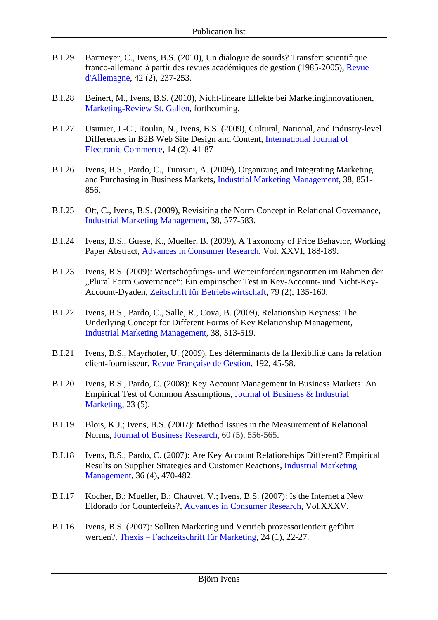- B.I.29 Barmeyer, C., Ivens, B.S. (2010), Un dialogue de sourds? Transfert scientifique franco-allemand à partir des revues académiques de gestion (1985-2005), Revue d'Allemagne, 42 (2), 237-253.
- B.I.28 Beinert, M., Ivens, B.S. (2010), Nicht-lineare Effekte bei Marketinginnovationen, Marketing-Review St. Gallen, forthcoming.
- B.I.27 Usunier, J.-C., Roulin, N., Ivens, B.S. (2009), Cultural, National, and Industry-level Differences in B2B Web Site Design and Content, International Journal of Electronic Commerce, 14 (2). 41-87
- B.I.26 Ivens, B.S., Pardo, C., Tunisini, A. (2009), Organizing and Integrating Marketing and Purchasing in Business Markets, Industrial Marketing Management, 38, 851- 856.
- B.I.25 Ott, C., Ivens, B.S. (2009), Revisiting the Norm Concept in Relational Governance, Industrial Marketing Management, 38, 577-583.
- B.I.24 Ivens, B.S., Guese, K., Mueller, B. (2009), A Taxonomy of Price Behavior, Working Paper Abstract, Advances in Consumer Research, Vol. XXVI, 188-189.
- B.I.23 Ivens, B.S. (2009): Wertschöpfungs- und Werteinforderungsnormen im Rahmen der "Plural Form Governance": Ein empirischer Test in Key-Account- und Nicht-Key-Account-Dyaden, Zeitschrift für Betriebswirtschaft, 79 (2), 135-160.
- B.I.22 Ivens, B.S., Pardo, C., Salle, R., Cova, B. (2009), Relationship Keyness: The Underlying Concept for Different Forms of Key Relationship Management, Industrial Marketing Management, 38, 513-519.
- B.I.21 Ivens, B.S., Mayrhofer, U. (2009), Les déterminants de la flexibilité dans la relation client-fournisseur, Revue Française de Gestion, 192, 45-58.
- B.I.20 Ivens, B.S., Pardo, C. (2008): Key Account Management in Business Markets: An Empirical Test of Common Assumptions, Journal of Business & Industrial Marketing, 23 (5).
- B.I.19 Blois, K.J.; Ivens, B.S. (2007): Method Issues in the Measurement of Relational Norms, Journal of Business Research, 60 (5), 556-565.
- B.I.18 Ivens, B.S., Pardo, C. (2007): Are Key Account Relationships Different? Empirical Results on Supplier Strategies and Customer Reactions, Industrial Marketing Management, 36 (4), 470-482.
- B.I.17 Kocher, B.; Mueller, B.; Chauvet, V.; Ivens, B.S. (2007): Is the Internet a New Eldorado for Counterfeits?, Advances in Consumer Research, Vol.XXXV.
- B.I.16 Ivens, B.S. (2007): Sollten Marketing und Vertrieb prozessorientiert geführt werden?, Thexis – Fachzeitschrift für Marketing, 24 (1), 22-27.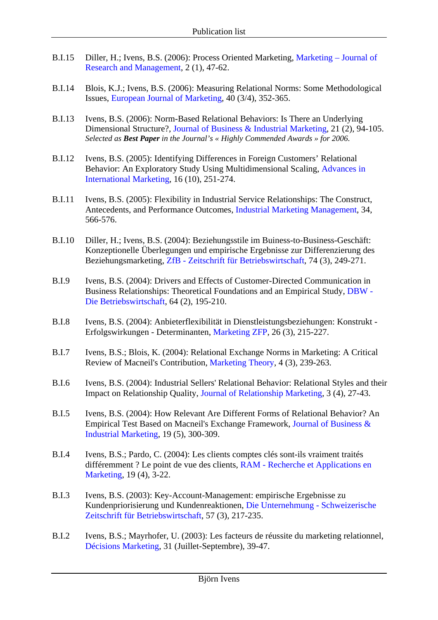- B.I.15 Diller, H.; Ivens, B.S. (2006): Process Oriented Marketing, Marketing Journal of Research and Management, 2 (1), 47-62.
- B.I.14 Blois, K.J.; Ivens, B.S. (2006): Measuring Relational Norms: Some Methodological Issues, European Journal of Marketing, 40 (3/4), 352-365.
- B.I.13 Ivens, B.S. (2006): Norm-Based Relational Behaviors: Is There an Underlying Dimensional Structure?, Journal of Business & Industrial Marketing, 21 (2), 94-105. *Selected as Best Paper in the Journal's « Highly Commended Awards » for 2006.*
- B.I.12 Ivens, B.S. (2005): Identifying Differences in Foreign Customers' Relational Behavior: An Exploratory Study Using Multidimensional Scaling, Advances in International Marketing, 16 (10), 251-274.
- B.I.11 Ivens, B.S. (2005): Flexibility in Industrial Service Relationships: The Construct, Antecedents, and Performance Outcomes, Industrial Marketing Management, 34, 566-576.
- B.I.10 Diller, H.; Ivens, B.S. (2004): Beziehungsstile im Buiness-to-Business-Geschäft: Konzeptionelle Überlegungen und empirische Ergebnisse zur Differenzierung des Beziehungsmarketing, ZfB - Zeitschrift für Betriebswirtschaft, 74 (3), 249-271.
- B.I.9 Ivens, B.S. (2004): Drivers and Effects of Customer-Directed Communication in Business Relationships: Theoretical Foundations and an Empirical Study, DBW - Die Betriebswirtschaft, 64 (2), 195-210.
- B.I.8 Ivens, B.S. (2004): Anbieterflexibilität in Dienstleistungsbeziehungen: Konstrukt Erfolgswirkungen - Determinanten, Marketing ZFP, 26 (3), 215-227.
- B.I.7 Ivens, B.S.; Blois, K. (2004): Relational Exchange Norms in Marketing: A Critical Review of Macneil's Contribution, Marketing Theory, 4 (3), 239-263.
- B.I.6 Ivens, B.S. (2004): Industrial Sellers' Relational Behavior: Relational Styles and their Impact on Relationship Quality, Journal of Relationship Marketing, 3 (4), 27-43.
- B.I.5 Ivens, B.S. (2004): How Relevant Are Different Forms of Relational Behavior? An Empirical Test Based on Macneil's Exchange Framework, Journal of Business & Industrial Marketing, 19 (5), 300-309.
- B.I.4 Ivens, B.S.; Pardo, C. (2004): Les clients comptes clés sont-ils vraiment traités différemment ? Le point de vue des clients, RAM - Recherche et Applications en Marketing, 19 (4), 3-22.
- B.I.3 Ivens, B.S. (2003): Key-Account-Management: empirische Ergebnisse zu Kundenpriorisierung und Kundenreaktionen, Die Unternehmung - Schweizerische Zeitschrift für Betriebswirtschaft, 57 (3), 217-235.
- B.I.2 Ivens, B.S.; Mayrhofer, U. (2003): Les facteurs de réussite du marketing relationnel, Décisions Marketing, 31 (Juillet-Septembre), 39-47.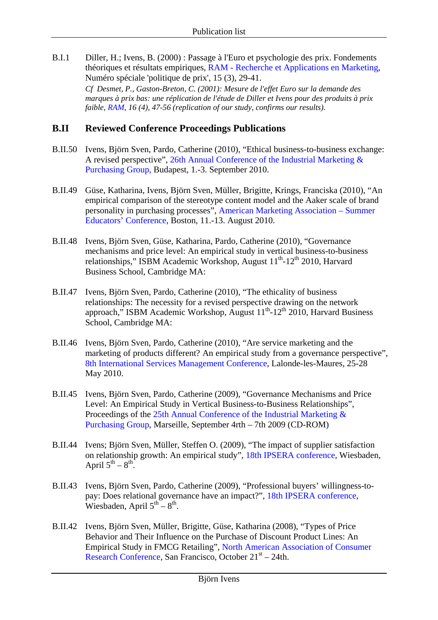B.I.1 Diller, H.; Ivens, B. (2000) : Passage à l'Euro et psychologie des prix. Fondements théoriques et résultats empiriques, RAM - Recherche et Applications en Marketing, Numéro spéciale 'politique de prix', 15 (3), 29-41.

*Cf Desmet, P., Gaston-Breton, C. (2001): Mesure de l'effet Euro sur la demande des marques à prix bas: une réplication de l'étude de Diller et Ivens pour des produits à prix faible, RAM, 16 (4), 47-56 (replication of our study, confirms our results).*

#### **B.II Reviewed Conference Proceedings Publications**

- B.II.50 Ivens, Björn Sven, Pardo, Catherine (2010), "Ethical business-to-business exchange: A revised perspective", 26th Annual Conference of the Industrial Marketing & Purchasing Group, Budapest, 1.-3. September 2010.
- B.II.49 Güse, Katharina, Ivens, Björn Sven, Müller, Brigitte, Krings, Franciska (2010), "An empirical comparison of the stereotype content model and the Aaker scale of brand personality in purchasing processes", American Marketing Association – Summer Educators' Conference, Boston, 11.-13. August 2010.
- B.II.48 Ivens, Björn Sven, Güse, Katharina, Pardo, Catherine (2010), "Governance mechanisms and price level: An empirical study in vertical business-to-business relationships," ISBM Academic Workshop, August 11<sup>th</sup>-12<sup>th</sup> 2010, Harvard Business School, Cambridge MA:
- B.II.47 Ivens, Björn Sven, Pardo, Catherine (2010), "The ethicality of business relationships: The necessity for a revised perspective drawing on the network approach," ISBM Academic Workshop, August  $11^{th}$ -12<sup>th</sup> 2010, Harvard Business School, Cambridge MA:
- B.II.46 Ivens, Björn Sven, Pardo, Catherine (2010), "Are service marketing and the marketing of products different? An empirical study from a governance perspective", 8th International Services Management Conference, Lalonde-les-Maures, 25-28 May 2010.
- B.II.45 Ivens, Björn Sven, Pardo, Catherine (2009), "Governance Mechanisms and Price Level: An Empirical Study in Vertical Business-to-Business Relationships", Proceedings of the 25th Annual Conference of the Industrial Marketing & Purchasing Group, Marseille, September 4rth – 7th 2009 (CD-ROM)
- B.II.44 Ivens; Björn Sven, Müller, Steffen O. (2009), "The impact of supplier satisfaction on relationship growth: An empirical study", 18th IPSERA conference, Wiesbaden, April  $5^{th} - 8^{th}$ .
- B.II.43 Ivens, Björn Sven, Pardo, Catherine (2009), "Professional buyers' willingness-topay: Does relational governance have an impact?", 18th IPSERA conference, Wiesbaden, April  $5^{th} - 8^{th}$ .
- B.II.42 Ivens, Björn Sven, Müller, Brigitte, Güse, Katharina (2008), "Types of Price Behavior and Their Influence on the Purchase of Discount Product Lines: An Empirical Study in FMCG Retailing", North American Association of Consumer Research Conference, San Francisco, October 21<sup>st</sup> – 24th.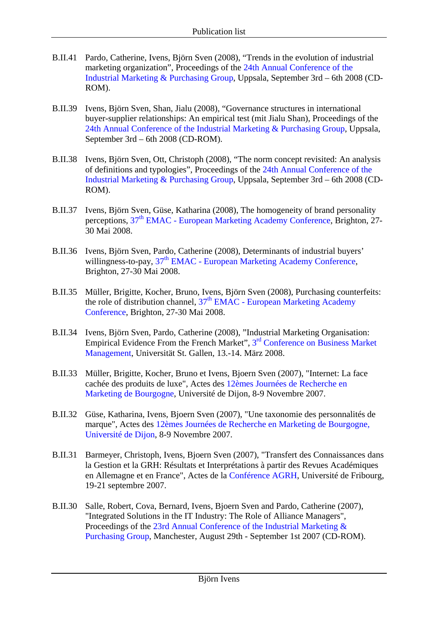- B.II.41 Pardo, Catherine, Ivens, Björn Sven (2008), "Trends in the evolution of industrial marketing organization", Proceedings of the 24th Annual Conference of the Industrial Marketing & Purchasing Group, Uppsala, September 3rd – 6th 2008 (CD-ROM).
- B.II.39 Ivens, Björn Sven, Shan, Jialu (2008), "Governance structures in international buyer-supplier relationships: An empirical test (mit Jialu Shan), Proceedings of the 24th Annual Conference of the Industrial Marketing & Purchasing Group, Uppsala, September 3rd – 6th 2008 (CD-ROM).
- B.II.38 Ivens, Björn Sven, Ott, Christoph (2008), "The norm concept revisited: An analysis of definitions and typologies", Proceedings of the 24th Annual Conference of the Industrial Marketing & Purchasing Group, Uppsala, September 3rd – 6th 2008 (CD-ROM).
- B.II.37 Ivens, Björn Sven, Güse, Katharina (2008), The homogeneity of brand personality perceptions,  $37<sup>th</sup> EMAC - European Marketing Academy Conference, Brighton, 27-$ 30 Mai 2008.
- B.II.36 Ivens, Björn Sven, Pardo, Catherine (2008), Determinants of industrial buyers' willingness-to-pay, 37<sup>th</sup> EMAC - European Marketing Academy Conference, Brighton, 27-30 Mai 2008.
- B.II.35 Müller, Brigitte, Kocher, Bruno, Ivens, Björn Sven (2008), Purchasing counterfeits: the role of distribution channel,  $37<sup>th</sup> EMAC$  - European Marketing Academy Conference, Brighton, 27-30 Mai 2008.
- B.II.34 Ivens, Björn Sven, Pardo, Catherine (2008), "Industrial Marketing Organisation: Empirical Evidence From the French Market", 3rd Conference on Business Market Management, Universität St. Gallen, 13.-14. März 2008.
- B.II.33 Müller, Brigitte, Kocher, Bruno et Ivens, Bjoern Sven (2007), "Internet: La face cachée des produits de luxe", Actes des 12èmes Journées de Recherche en Marketing de Bourgogne, Université de Dijon, 8-9 Novembre 2007.
- B.II.32 Güse, Katharina, Ivens, Bjoern Sven (2007), "Une taxonomie des personnalités de marque", Actes des 12èmes Journées de Recherche en Marketing de Bourgogne, Université de Dijon, 8-9 Novembre 2007.
- B.II.31 Barmeyer, Christoph, Ivens, Bjoern Sven (2007), "Transfert des Connaissances dans la Gestion et la GRH: Résultats et Interprétations à partir des Revues Académiques en Allemagne et en France", Actes de la Conférence AGRH, Université de Fribourg, 19-21 septembre 2007.
- B.II.30 Salle, Robert, Cova, Bernard, Ivens, Bjoern Sven and Pardo, Catherine (2007), "Integrated Solutions in the IT Industry: The Role of Alliance Managers", Proceedings of the 23rd Annual Conference of the Industrial Marketing & Purchasing Group, Manchester, August 29th - September 1st 2007 (CD-ROM).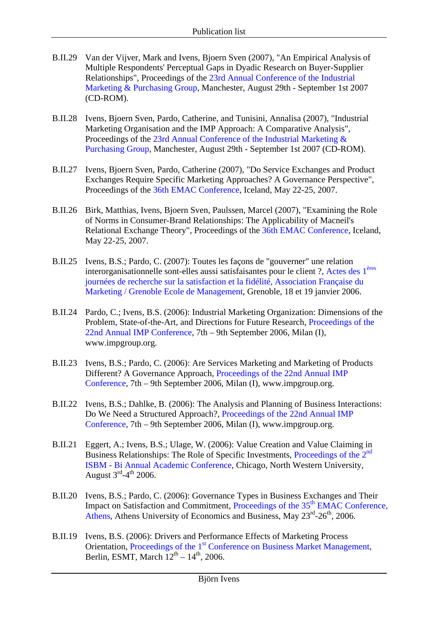- B.II.29 Van der Vijver, Mark and Ivens, Bjoern Sven (2007), "An Empirical Analysis of Multiple Respondents' Perceptual Gaps in Dyadic Research on Buyer-Supplier Relationships", Proceedings of the 23rd Annual Conference of the Industrial Marketing & Purchasing Group, Manchester, August 29th - September 1st 2007 (CD-ROM).
- B.II.28 Ivens, Bjoern Sven, Pardo, Catherine, and Tunisini, Annalisa (2007), "Industrial Marketing Organisation and the IMP Approach: A Comparative Analysis", Proceedings of the 23rd Annual Conference of the Industrial Marketing & Purchasing Group, Manchester, August 29th - September 1st 2007 (CD-ROM).
- B.II.27 Ivens, Bjoern Sven, Pardo, Catherine (2007), "Do Service Exchanges and Product Exchanges Require Specific Marketing Approaches? A Governance Perspective", Proceedings of the 36th EMAC Conference, Iceland, May 22-25, 2007.
- B.II.26 Birk, Matthias, Ivens, Bjoern Sven, Paulssen, Marcel (2007), "Examining the Role of Norms in Consumer-Brand Relationships: The Applicability of Macneil's Relational Exchange Theory", Proceedings of the 36th EMAC Conference, Iceland, May 22-25, 2007.
- B.II.25 Ivens, B.S.; Pardo, C. (2007): Toutes les façons de "gouverner" une relation interorganisationnelle sont-elles aussi satisfaisantes pour le client ?, Actes des 1ères journées de recherche sur la satisfaction et la fidélité, Association Française du Marketing / Grenoble Ecole de Management, Grenoble, 18 et 19 janvier 2006.
- B.II.24 Pardo, C.; Ivens, B.S. (2006): Industrial Marketing Organization: Dimensions of the Problem, State-of-the-Art, and Directions for Future Research, Proceedings of the 22nd Annual IMP Conference, 7th – 9th September 2006, Milan (I), www.impgroup.org.
- B.II.23 Ivens, B.S.; Pardo, C. (2006): Are Services Marketing and Marketing of Products Different? A Governance Approach, Proceedings of the 22nd Annual IMP Conference, 7th – 9th September 2006, Milan (I), www.impgroup.org.
- B.II.22 Ivens, B.S.; Dahlke, B. (2006): The Analysis and Planning of Business Interactions: Do We Need a Structured Approach?, Proceedings of the 22nd Annual IMP Conference, 7th – 9th September 2006, Milan (I), www.impgroup.org.
- B.II.21 Eggert, A.; Ivens, B.S.; Ulage, W. (2006): Value Creation and Value Claiming in Business Relationships: The Role of Specific Investments, Proceedings of the 2<sup>nd</sup> ISBM - Bi Annual Academic Conference, Chicago, North Western University, August  $3^{\text{rd}} - 4^{\text{th}}$  2006.
- B.II.20 Ivens, B.S.; Pardo, C. (2006): Governance Types in Business Exchanges and Their Impact on Satisfaction and Commitment, Proceedings of the 35<sup>th</sup> EMAC Conference, Athens, Athens University of Economics and Business, May  $23^{\text{rd}}$ - $26^{\text{th}}$ , 2006.
- B.II.19 Ivens, B.S. (2006): Drivers and Performance Effects of Marketing Process Orientation, Proceedings of the 1<sup>st</sup> Conference on Business Market Management, Berlin, ESMT, March  $12^{th}$  –  $14^{th}$ , 2006.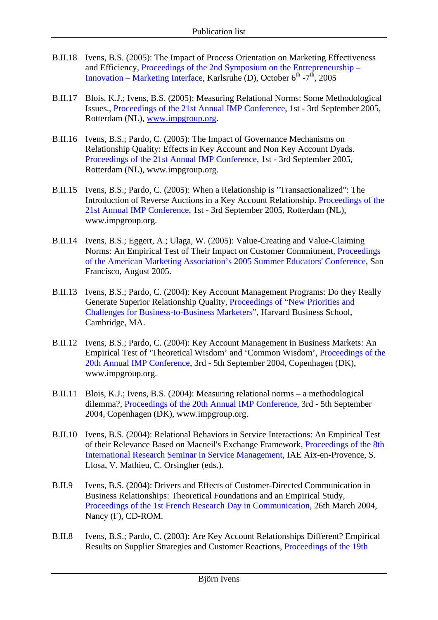- B.II.18 Ivens, B.S. (2005): The Impact of Process Orientation on Marketing Effectiveness and Efficiency, Proceedings of the 2nd Symposium on the Entrepreneurship – Innovation – Marketing Interface, Karlsruhe (D), October  $6^{th}$  -7<sup>th</sup>, 2005
- B.II.17 Blois, K.J.; Ivens, B.S. (2005): Measuring Relational Norms: Some Methodological Issues., Proceedings of the 21st Annual IMP Conference, 1st - 3rd September 2005, Rotterdam (NL), www.impgroup.org.
- B.II.16 Ivens, B.S.; Pardo, C. (2005): The Impact of Governance Mechanisms on Relationship Quality: Effects in Key Account and Non Key Account Dyads. Proceedings of the 21st Annual IMP Conference, 1st - 3rd September 2005, Rotterdam (NL), www.impgroup.org.
- B.II.15 Ivens, B.S.; Pardo, C. (2005): When a Relationship is "Transactionalized": The Introduction of Reverse Auctions in a Key Account Relationship. Proceedings of the 21st Annual IMP Conference, 1st - 3rd September 2005, Rotterdam (NL), www.impgroup.org.
- B.II.14 Ivens, B.S.; Eggert, A.; Ulaga, W. (2005): Value-Creating and Value-Claiming Norms: An Empirical Test of Their Impact on Customer Commitment, Proceedings of the American Marketing Association's 2005 Summer Educators' Conference, San Francisco, August 2005.
- B.II.13 Ivens, B.S.; Pardo, C. (2004): Key Account Management Programs: Do they Really Generate Superior Relationship Quality, Proceedings of "New Priorities and Challenges for Business-to-Business Marketers", Harvard Business School, Cambridge, MA.
- B.II.12 Ivens, B.S.; Pardo, C. (2004): Key Account Management in Business Markets: An Empirical Test of 'Theoretical Wisdom' and 'Common Wisdom', Proceedings of the 20th Annual IMP Conference, 3rd - 5th September 2004, Copenhagen (DK), www.impgroup.org.
- B.II.11 Blois, K.J.; Ivens, B.S. (2004): Measuring relational norms a methodological dilemma?, Proceedings of the 20th Annual IMP Conference, 3rd - 5th September 2004, Copenhagen (DK), www.impgroup.org.
- B.II.10 Ivens, B.S. (2004): Relational Behaviors in Service Interactions: An Empirical Test of their Relevance Based on Macneil's Exchange Framework, Proceedings of the 8th International Research Seminar in Service Management, IAE Aix-en-Provence, S. Llosa, V. Mathieu, C. Orsingher (eds.).
- B.II.9 Ivens, B.S. (2004): Drivers and Effects of Customer-Directed Communication in Business Relationships: Theoretical Foundations and an Empirical Study, Proceedings of the 1st French Research Day in Communication, 26th March 2004, Nancy (F), CD-ROM.
- B.II.8 Ivens, B.S.; Pardo, C. (2003): Are Key Account Relationships Different? Empirical Results on Supplier Strategies and Customer Reactions, Proceedings of the 19th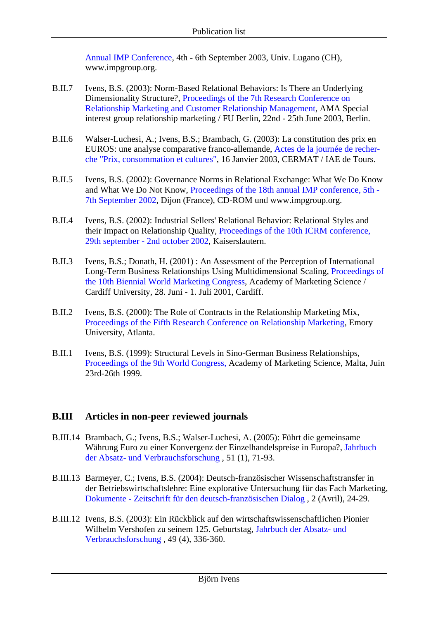Annual IMP Conference, 4th - 6th September 2003, Univ. Lugano (CH), www.impgroup.org.

- B.II.7 Ivens, B.S. (2003): Norm-Based Relational Behaviors: Is There an Underlying Dimensionality Structure?, Proceedings of the 7th Research Conference on Relationship Marketing and Customer Relationship Management, AMA Special interest group relationship marketing / FU Berlin, 22nd - 25th June 2003, Berlin.
- B.II.6 Walser-Luchesi, A.; Ivens, B.S.; Brambach, G. (2003): La constitution des prix en EUROS: une analyse comparative franco-allemande, Actes de la journée de recherche "Prix, consommation et cultures", 16 Janvier 2003, CERMAT / IAE de Tours.
- B.II.5 Ivens, B.S. (2002): Governance Norms in Relational Exchange: What We Do Know and What We Do Not Know, Proceedings of the 18th annual IMP conference, 5th - 7th September 2002, Dijon (France), CD-ROM und www.impgroup.org.
- B.II.4 Ivens, B.S. (2002): Industrial Sellers' Relational Behavior: Relational Styles and their Impact on Relationship Quality, Proceedings of the 10th ICRM conference, 29th september - 2nd october 2002, Kaiserslautern.
- B.II.3 Ivens, B.S.; Donath, H. (2001) : An Assessment of the Perception of International Long-Term Business Relationships Using Multidimensional Scaling, Proceedings of the 10th Biennial World Marketing Congress, Academy of Marketing Science / Cardiff University, 28. Juni - 1. Juli 2001, Cardiff.
- B.II.2 Ivens, B.S. (2000): The Role of Contracts in the Relationship Marketing Mix, Proceedings of the Fifth Research Conference on Relationship Marketing, Emory University, Atlanta.
- B.II.1 Ivens, B.S. (1999): Structural Levels in Sino-German Business Relationships, Proceedings of the 9th World Congress, Academy of Marketing Science, Malta, Juin 23rd-26th 1999.

#### **B.III Articles in non-peer reviewed journals**

- B.III.14 Brambach, G.; Ivens, B.S.; Walser-Luchesi, A. (2005): Führt die gemeinsame Währung Euro zu einer Konvergenz der Einzelhandelspreise in Europa?, Jahrbuch der Absatz- und Verbrauchsforschung , 51 (1), 71-93.
- B.III.13 Barmeyer, C.; Ivens, B.S. (2004): Deutsch-französischer Wissenschaftstransfer in der Betriebswirtschaftslehre: Eine explorative Untersuchung für das Fach Marketing, Dokumente - Zeitschrift für den deutsch-französischen Dialog , 2 (Avril), 24-29.
- B.III.12 Ivens, B.S. (2003): Ein Rückblick auf den wirtschaftswissenschaftlichen Pionier Wilhelm Vershofen zu seinem 125. Geburtstag, Jahrbuch der Absatz- und Verbrauchsforschung , 49 (4), 336-360.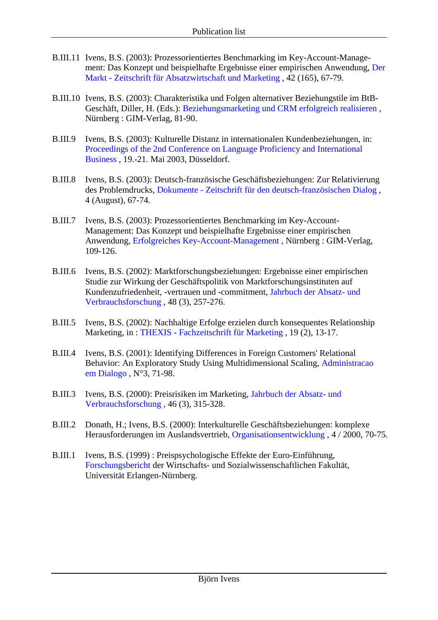- B.III.11 Ivens, B.S. (2003): Prozessorientiertes Benchmarking im Key-Account-Management: Das Konzept und beispielhafte Ergebnisse einer empirischen Anwendung, Der Markt - Zeitschrift für Absatzwirtschaft und Marketing , 42 (165), 67-79.
- B.III.10 Ivens, B.S. (2003): Charakteristika und Folgen alternativer Beziehungstile im BtB-Geschäft, Diller, H. (Eds.): Beziehungsmarketing und CRM erfolgreich realisieren , Nürnberg : GIM-Verlag, 81-90.
- B.III.9 Ivens, B.S. (2003): Kulturelle Distanz in internationalen Kundenbeziehungen, in: Proceedings of the 2nd Conference on Language Proficiency and International Business , 19.-21. Mai 2003, Düsseldorf.
- B.III.8 Ivens, B.S. (2003): Deutsch-französische Geschäftsbeziehungen: Zur Relativierung des Problemdrucks, Dokumente - Zeitschrift für den deutsch-französischen Dialog , 4 (August), 67-74.
- B.III.7 Ivens, B.S. (2003): Prozessorientiertes Benchmarking im Key-Account-Management: Das Konzept und beispielhafte Ergebnisse einer empirischen Anwendung, Erfolgreiches Key-Account-Management , Nürnberg : GIM-Verlag, 109-126.
- B.III.6 Ivens, B.S. (2002): Marktforschungsbeziehungen: Ergebnisse einer empirischen Studie zur Wirkung der Geschäftspolitik von Marktforschungsinstituten auf Kundenzufriedenheit, -vertrauen und -commitment, Jahrbuch der Absatz- und Verbrauchsforschung , 48 (3), 257-276.
- B.III.5 Ivens, B.S. (2002): Nachhaltige Erfolge erzielen durch konsequentes Relationship Marketing, in : THEXIS - Fachzeitschrift für Marketing , 19 (2), 13-17.
- B.III.4 Ivens, B.S. (2001): Identifying Differences in Foreign Customers' Relational Behavior: An Exploratory Study Using Multidimensional Scaling, Administracao em Dialogo , N°3, 71-98.
- B.III.3 Ivens, B.S. (2000): Preisrisiken im Marketing, Jahrbuch der Absatz- und Verbrauchsforschung , 46 (3), 315-328.
- B.III.2 Donath, H.; Ivens, B.S. (2000): Interkulturelle Geschäftsbeziehungen: komplexe Herausforderungen im Auslandsvertrieb, Organisationsentwicklung , 4 / 2000, 70-75.
- B.III.1 Ivens, B.S. (1999) : Preispsychologische Effekte der Euro-Einführung, Forschungsbericht der Wirtschafts- und Sozialwissenschaftlichen Fakultät, Universität Erlangen-Nürnberg.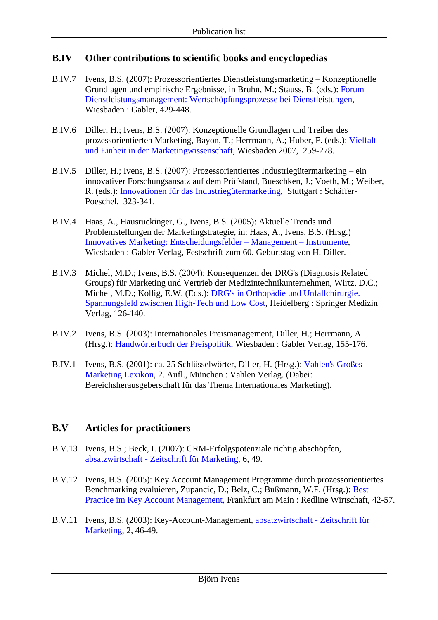#### **B.IV Other contributions to scientific books and encyclopedias**

- B.IV.7 Ivens, B.S. (2007): Prozessorientiertes Dienstleistungsmarketing Konzeptionelle Grundlagen und empirische Ergebnisse, in Bruhn, M.; Stauss, B. (eds.): Forum Dienstleistungsmanagement: Wertschöpfungsprozesse bei Dienstleistungen, Wiesbaden : Gabler, 429-448.
- B.IV.6 Diller, H.; Ivens, B.S. (2007): Konzeptionelle Grundlagen und Treiber des prozessorientierten Marketing, Bayon, T.; Herrmann, A.; Huber, F. (eds.): Vielfalt und Einheit in der Marketingwissenschaft, Wiesbaden 2007, 259-278.
- B.IV.5 Diller, H.; Ivens, B.S. (2007): Prozessorientiertes Industriegütermarketing ein innovativer Forschungsansatz auf dem Prüfstand, Bueschken, J.; Voeth, M.; Weiber, R. (eds.): Innovationen für das Industriegütermarketing, Stuttgart : Schäffer-Poeschel, 323-341.
- B.IV.4 Haas, A., Hausruckinger, G., Ivens, B.S. (2005): Aktuelle Trends und Problemstellungen der Marketingstrategie, in: Haas, A., Ivens, B.S. (Hrsg.) Innovatives Marketing: Entscheidungsfelder – Management – Instrumente, Wiesbaden : Gabler Verlag, Festschrift zum 60. Geburtstag von H. Diller.
- B.IV.3 Michel, M.D.; Ivens, B.S. (2004): Konsequenzen der DRG's (Diagnosis Related Groups) für Marketing und Vertrieb der Medizintechnikunternehmen, Wirtz, D.C.; Michel, M.D.; Kollig, E.W. (Eds.): DRG's in Orthopädie und Unfallchirurgie. Spannungsfeld zwischen High-Tech und Low Cost, Heidelberg : Springer Medizin Verlag, 126-140.
- B.IV.2 Ivens, B.S. (2003): Internationales Preismanagement, Diller, H.; Herrmann, A. (Hrsg.): Handwörterbuch der Preispolitik, Wiesbaden : Gabler Verlag, 155-176.
- B.IV.1 Ivens, B.S. (2001): ca. 25 Schlüsselwörter, Diller, H. (Hrsg.): Vahlen's Großes Marketing Lexikon, 2. Aufl., München : Vahlen Verlag. (Dabei: Bereichsherausgeberschaft für das Thema Internationales Marketing).

#### **B.V Articles for practitioners**

- B.V.13 Ivens, B.S.; Beck, I. (2007): CRM-Erfolgspotenziale richtig abschöpfen, absatzwirtschaft - Zeitschrift für Marketing, 6, 49.
- B.V.12 Ivens, B.S. (2005): Key Account Management Programme durch prozessorientiertes Benchmarking evaluieren, Zupancic, D.; Belz, C.; Bußmann, W.F. (Hrsg.): Best Practice im Key Account Management, Frankfurt am Main : Redline Wirtschaft, 42-57.
- B.V.11 Ivens, B.S. (2003): Key-Account-Management, absatzwirtschaft Zeitschrift für Marketing, 2, 46-49.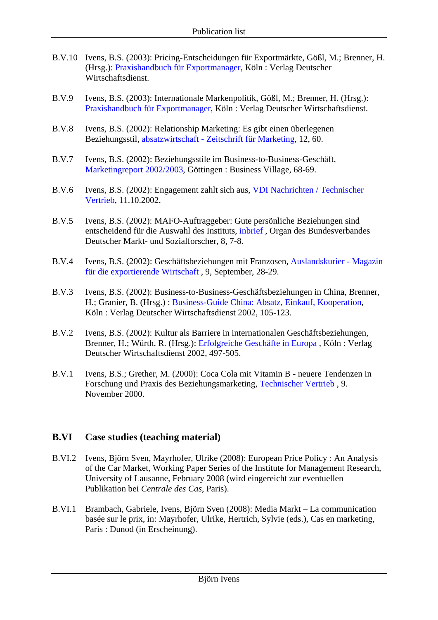- B.V.10 Ivens, B.S. (2003): Pricing-Entscheidungen für Exportmärkte, Gößl, M.; Brenner, H. (Hrsg.): Praxishandbuch für Exportmanager, Köln : Verlag Deutscher Wirtschaftsdienst.
- B.V.9 Ivens, B.S. (2003): Internationale Markenpolitik, Gößl, M.; Brenner, H. (Hrsg.): Praxishandbuch für Exportmanager, Köln : Verlag Deutscher Wirtschaftsdienst.
- B.V.8 Ivens, B.S. (2002): Relationship Marketing: Es gibt einen überlegenen Beziehungsstil, absatzwirtschaft - Zeitschrift für Marketing, 12, 60.
- B.V.7 Ivens, B.S. (2002): Beziehungsstile im Business-to-Business-Geschäft, Marketingreport 2002/2003, Göttingen : Business Village, 68-69.
- B.V.6 Ivens, B.S. (2002): Engagement zahlt sich aus, VDI Nachrichten / Technischer Vertrieb, 11.10.2002.
- B.V.5 Ivens, B.S. (2002): MAFO-Auftraggeber: Gute persönliche Beziehungen sind entscheidend für die Auswahl des Instituts, inbrief , Organ des Bundesverbandes Deutscher Markt- und Sozialforscher, 8, 7-8.
- B.V.4 Ivens, B.S. (2002): Geschäftsbeziehungen mit Franzosen, Auslandskurier Magazin für die exportierende Wirtschaft , 9, September, 28-29.
- B.V.3 Ivens, B.S. (2002): Business-to-Business-Geschäftsbeziehungen in China, Brenner, H.; Granier, B. (Hrsg.) : Business-Guide China: Absatz, Einkauf, Kooperation, Köln : Verlag Deutscher Wirtschaftsdienst 2002, 105-123.
- B.V.2 Ivens, B.S. (2002): Kultur als Barriere in internationalen Geschäftsbeziehungen, Brenner, H.; Würth, R. (Hrsg.): Erfolgreiche Geschäfte in Europa , Köln : Verlag Deutscher Wirtschaftsdienst 2002, 497-505.
- B.V.1 Ivens, B.S.; Grether, M. (2000): Coca Cola mit Vitamin B neuere Tendenzen in Forschung und Praxis des Beziehungsmarketing, Technischer Vertrieb , 9. November 2000.

#### **B.VI Case studies (teaching material)**

- B.VI.2 Ivens, Björn Sven, Mayrhofer, Ulrike (2008): European Price Policy : An Analysis of the Car Market, Working Paper Series of the Institute for Management Research, University of Lausanne, February 2008 (wird eingereicht zur eventuellen Publikation bei *Centrale des Cas*, Paris).
- B.VI.1 Brambach, Gabriele, Ivens, Björn Sven (2008): Media Markt La communication basée sur le prix, in: Mayrhofer, Ulrike, Hertrich, Sylvie (eds.), Cas en marketing, Paris : Dunod (in Erscheinung).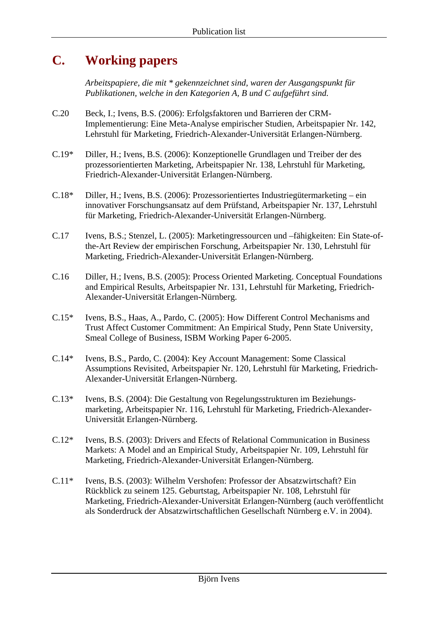## **C. Working papers**

*Arbeitspapiere, die mit \* gekennzeichnet sind, waren der Ausgangspunkt für Publikationen, welche in den Kategorien A, B und C aufgeführt sind.* 

- C.20 Beck, I.; Ivens, B.S. (2006): Erfolgsfaktoren und Barrieren der CRM-Implementierung: Eine Meta-Analyse empirischer Studien, Arbeitspapier Nr. 142, Lehrstuhl für Marketing, Friedrich-Alexander-Universität Erlangen-Nürnberg.
- C.19\* Diller, H.; Ivens, B.S. (2006): Konzeptionelle Grundlagen und Treiber der des prozessorientierten Marketing, Arbeitspapier Nr. 138, Lehrstuhl für Marketing, Friedrich-Alexander-Universität Erlangen-Nürnberg.
- C.18\* Diller, H.; Ivens, B.S. (2006): Prozessorientiertes Industriegütermarketing ein innovativer Forschungsansatz auf dem Prüfstand, Arbeitspapier Nr. 137, Lehrstuhl für Marketing, Friedrich-Alexander-Universität Erlangen-Nürnberg.
- C.17 Ivens, B.S.; Stenzel, L. (2005): Marketingressourcen und –fähigkeiten: Ein State-ofthe-Art Review der empirischen Forschung, Arbeitspapier Nr. 130, Lehrstuhl für Marketing, Friedrich-Alexander-Universität Erlangen-Nürnberg.
- C.16 Diller, H.; Ivens, B.S. (2005): Process Oriented Marketing. Conceptual Foundations and Empirical Results, Arbeitspapier Nr. 131, Lehrstuhl für Marketing, Friedrich-Alexander-Universität Erlangen-Nürnberg.
- C.15\* Ivens, B.S., Haas, A., Pardo, C. (2005): How Different Control Mechanisms and Trust Affect Customer Commitment: An Empirical Study, Penn State University, Smeal College of Business, ISBM Working Paper 6-2005.
- C.14\* Ivens, B.S., Pardo, C. (2004): Key Account Management: Some Classical Assumptions Revisited, Arbeitspapier Nr. 120, Lehrstuhl für Marketing, Friedrich-Alexander-Universität Erlangen-Nürnberg.
- C.13\* Ivens, B.S. (2004): Die Gestaltung von Regelungsstrukturen im Beziehungsmarketing, Arbeitspapier Nr. 116, Lehrstuhl für Marketing, Friedrich-Alexander-Universität Erlangen-Nürnberg.
- C.12\* Ivens, B.S. (2003): Drivers and Efects of Relational Communication in Business Markets: A Model and an Empirical Study, Arbeitspapier Nr. 109, Lehrstuhl für Marketing, Friedrich-Alexander-Universität Erlangen-Nürnberg.
- C.11\* Ivens, B.S. (2003): Wilhelm Vershofen: Professor der Absatzwirtschaft? Ein Rückblick zu seinem 125. Geburtstag, Arbeitspapier Nr. 108, Lehrstuhl für Marketing, Friedrich-Alexander-Universität Erlangen-Nürnberg (auch veröffentlicht als Sonderdruck der Absatzwirtschaftlichen Gesellschaft Nürnberg e.V. in 2004).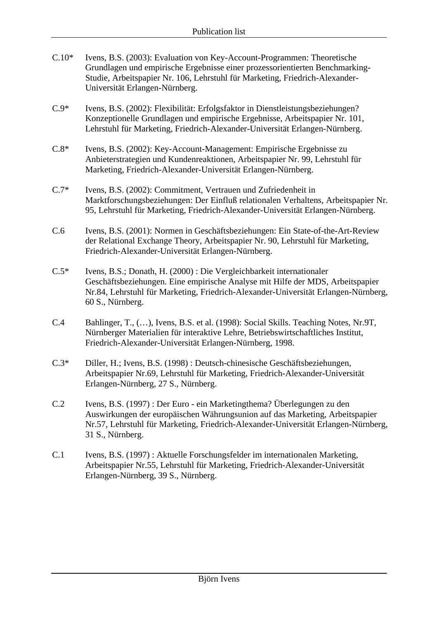- C.10\* Ivens, B.S. (2003): Evaluation von Key-Account-Programmen: Theoretische Grundlagen und empirische Ergebnisse einer prozessorientierten Benchmarking-Studie, Arbeitspapier Nr. 106, Lehrstuhl für Marketing, Friedrich-Alexander-Universität Erlangen-Nürnberg.
- C.9\* Ivens, B.S. (2002): Flexibilität: Erfolgsfaktor in Dienstleistungsbeziehungen? Konzeptionelle Grundlagen und empirische Ergebnisse, Arbeitspapier Nr. 101, Lehrstuhl für Marketing, Friedrich-Alexander-Universität Erlangen-Nürnberg.
- C.8\* Ivens, B.S. (2002): Key-Account-Management: Empirische Ergebnisse zu Anbieterstrategien und Kundenreaktionen, Arbeitspapier Nr. 99, Lehrstuhl für Marketing, Friedrich-Alexander-Universität Erlangen-Nürnberg.
- C.7\* Ivens, B.S. (2002): Commitment, Vertrauen und Zufriedenheit in Marktforschungsbeziehungen: Der Einfluß relationalen Verhaltens, Arbeitspapier Nr. 95, Lehrstuhl für Marketing, Friedrich-Alexander-Universität Erlangen-Nürnberg.
- C.6 Ivens, B.S. (2001): Normen in Geschäftsbeziehungen: Ein State-of-the-Art-Review der Relational Exchange Theory, Arbeitspapier Nr. 90, Lehrstuhl für Marketing, Friedrich-Alexander-Universität Erlangen-Nürnberg.
- C.5\* Ivens, B.S.; Donath, H. (2000) : Die Vergleichbarkeit internationaler Geschäftsbeziehungen. Eine empirische Analyse mit Hilfe der MDS, Arbeitspapier Nr.84, Lehrstuhl für Marketing, Friedrich-Alexander-Universität Erlangen-Nürnberg, 60 S., Nürnberg.
- C.4 Bahlinger, T., (…), Ivens, B.S. et al. (1998): Social Skills. Teaching Notes, Nr.9T, Nürnberger Materialien für interaktive Lehre, Betriebswirtschaftliches Institut, Friedrich-Alexander-Universität Erlangen-Nürnberg, 1998.
- C.3\* Diller, H.; Ivens, B.S. (1998) : Deutsch-chinesische Geschäftsbeziehungen, Arbeitspapier Nr.69, Lehrstuhl für Marketing, Friedrich-Alexander-Universität Erlangen-Nürnberg, 27 S., Nürnberg.
- C.2 Ivens, B.S. (1997) : Der Euro ein Marketingthema? Überlegungen zu den Auswirkungen der europäischen Währungsunion auf das Marketing, Arbeitspapier Nr.57, Lehrstuhl für Marketing, Friedrich-Alexander-Universität Erlangen-Nürnberg, 31 S., Nürnberg.
- C.1 Ivens, B.S. (1997) : Aktuelle Forschungsfelder im internationalen Marketing, Arbeitspapier Nr.55, Lehrstuhl für Marketing, Friedrich-Alexander-Universität Erlangen-Nürnberg, 39 S., Nürnberg.